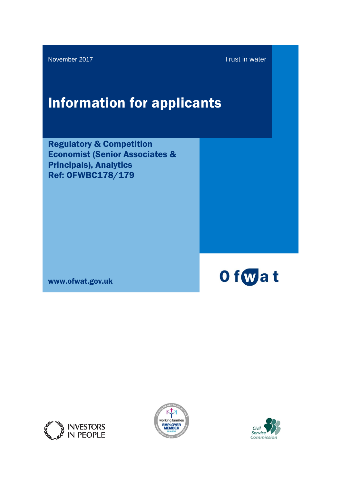November 2017 **Trust in water** 

# Information for applicants

Regulatory & Competition Economist (Senior Associates & Principals), Analytics Ref: OFWBC178/179

www.ofwat.gov.uk







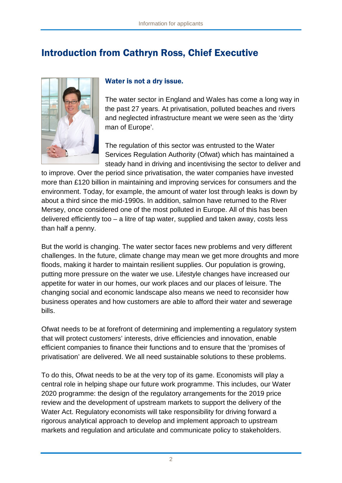# Introduction from Cathryn Ross, Chief Executive



#### Water is not a dry issue.

The water sector in England and Wales has come a long way in the past 27 years. At privatisation, polluted beaches and rivers and neglected infrastructure meant we were seen as the 'dirty man of Europe'.

The regulation of this sector was entrusted to the Water Services Regulation Authority (Ofwat) which has maintained a steady hand in driving and incentivising the sector to deliver and

to improve. Over the period since privatisation, the water companies have invested more than £120 billion in maintaining and improving services for consumers and the environment. Today, for example, the amount of water lost through leaks is down by about a third since the mid-1990s. In addition, salmon have returned to the River Mersey, once considered one of the most polluted in Europe. All of this has been delivered efficiently too – a litre of tap water, supplied and taken away, costs less than half a penny.

But the world is changing. The water sector faces new problems and very different challenges. In the future, climate change may mean we get more droughts and more floods, making it harder to maintain resilient supplies. Our population is growing, putting more pressure on the water we use. Lifestyle changes have increased our appetite for water in our homes, our work places and our places of leisure. The changing social and economic landscape also means we need to reconsider how business operates and how customers are able to afford their water and sewerage bills.

Ofwat needs to be at forefront of determining and implementing a regulatory system that will protect customers' interests, drive efficiencies and innovation, enable efficient companies to finance their functions and to ensure that the 'promises of privatisation' are delivered. We all need sustainable solutions to these problems.

To do this, Ofwat needs to be at the very top of its game. Economists will play a central role in helping shape our future work programme. This includes, our Water 2020 programme: the design of the regulatory arrangements for the 2019 price review and the development of upstream markets to support the delivery of the Water Act. Regulatory economists will take responsibility for driving forward a rigorous analytical approach to develop and implement approach to upstream markets and regulation and articulate and communicate policy to stakeholders.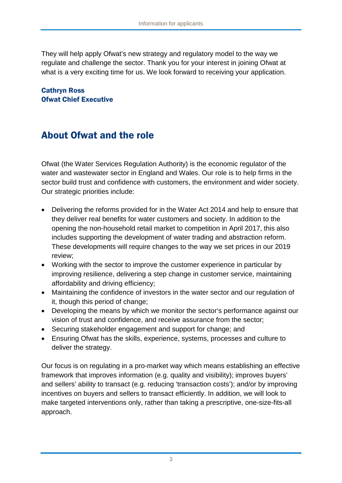They will help apply Ofwat's new strategy and regulatory model to the way we regulate and challenge the sector. Thank you for your interest in joining Ofwat at what is a very exciting time for us. We look forward to receiving your application.

#### Cathryn Ross Ofwat Chief Executive

# About Ofwat and the role

Ofwat (the Water Services Regulation Authority) is the economic regulator of the water and wastewater sector in England and Wales. Our role is to help firms in the sector build trust and confidence with customers, the environment and wider society. Our strategic priorities include:

- Delivering the reforms provided for in the Water Act 2014 and help to ensure that they deliver real benefits for water customers and society. In addition to the opening the non-household retail market to competition in April 2017, this also includes supporting the development of water trading and abstraction reform. These developments will require changes to the way we set prices in our 2019 review;
- Working with the sector to improve the customer experience in particular by improving resilience, delivering a step change in customer service, maintaining affordability and driving efficiency;
- Maintaining the confidence of investors in the water sector and our regulation of it, though this period of change;
- Developing the means by which we monitor the sector's performance against our vision of trust and confidence, and receive assurance from the sector;
- Securing stakeholder engagement and support for change; and
- Ensuring Ofwat has the skills, experience, systems, processes and culture to deliver the strategy.

Our focus is on regulating in a pro-market way which means establishing an effective framework that improves information (e.g. quality and visibility); improves buyers' and sellers' ability to transact (e.g. reducing 'transaction costs'); and/or by improving incentives on buyers and sellers to transact efficiently. In addition, we will look to make targeted interventions only, rather than taking a prescriptive, one-size-fits-all approach.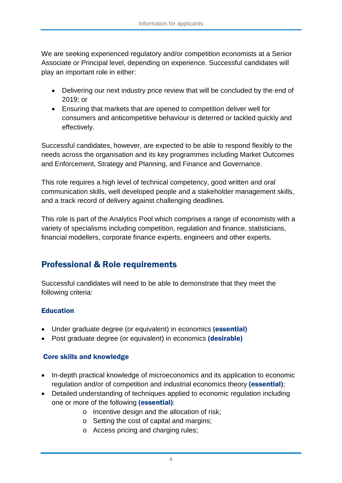We are seeking experienced regulatory and/or competition economists at a Senior Associate or Principal level, depending on experience. Successful candidates will play an important role in either:

- Delivering our next industry price review that will be concluded by the end of 2019; or
- Ensuring that markets that are opened to competition deliver well for consumers and anticompetitive behaviour is deterred or tackled quickly and effectively.

Successful candidates, however, are expected to be able to respond flexibly to the needs across the organisation and its key programmes including Market Outcomes and Enforcement, Strategy and Planning, and Finance and Governance.

This role requires a high level of technical competency, good written and oral communication skills, well developed people and a stakeholder management skills, and a track record of delivery against challenging deadlines.

This role is part of the Analytics Pool which comprises a range of economists with a variety of specialisms including competition, regulation and finance, statisticians, financial modellers, corporate finance experts, engineers and other experts.

## Professional & Role requirements

Successful candidates will need to be able to demonstrate that they meet the following criteria:

#### **Education**

- Under graduate degree (or equivalent) in economics (essential)
- Post graduate degree (or equivalent) in economics (desirable)

#### Core skills and knowledge

- In-depth practical knowledge of microeconomics and its application to economic regulation and/or of competition and industrial economics theory (essential);
- Detailed understanding of techniques applied to economic regulation including one or more of the following (essential):
	- o Incentive design and the allocation of risk;
	- o Setting the cost of capital and margins;
	- o Access pricing and charging rules;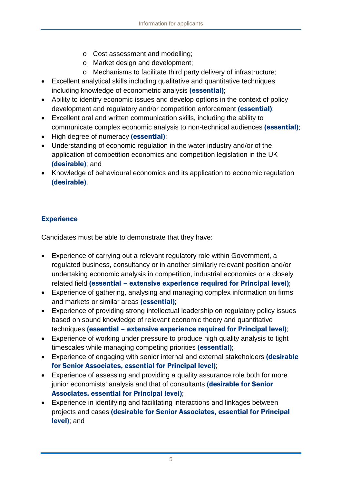- o Cost assessment and modelling;
- o Market design and development;
- o Mechanisms to facilitate third party delivery of infrastructure;
- Excellent analytical skills including qualitative and quantitative techniques including knowledge of econometric analysis (essential);
- Ability to identify economic issues and develop options in the context of policy development and regulatory and/or competition enforcement (essential);
- Excellent oral and written communication skills, including the ability to communicate complex economic analysis to non-technical audiences (essential);
- High degree of numeracy (essential);
- Understanding of economic regulation in the water industry and/or of the application of competition economics and competition legislation in the UK (desirable); and
- Knowledge of behavioural economics and its application to economic regulation (desirable).

#### **Experience**

Candidates must be able to demonstrate that they have:

- Experience of carrying out a relevant regulatory role within Government, a regulated business, consultancy or in another similarly relevant position and/or undertaking economic analysis in competition, industrial economics or a closely related field (essential – extensive experience required for Principal level);
- Experience of gathering, analysing and managing complex information on firms and markets or similar areas (essential);
- Experience of providing strong intellectual leadership on regulatory policy issues based on sound knowledge of relevant economic theory and quantitative techniques (essential – extensive experience required for Principal level);
- Experience of working under pressure to produce high quality analysis to tight timescales while managing competing priorities (essential);
- Experience of engaging with senior internal and external stakeholders (desirable for Senior Associates, essential for Principal level);
- Experience of assessing and providing a quality assurance role both for more junior economists' analysis and that of consultants (desirable for Senior Associates, essential for Principal level);
- Experience in identifying and facilitating interactions and linkages between projects and cases (desirable for Senior Associates, essential for Principal level); and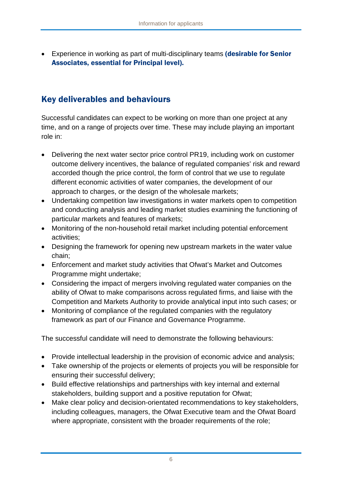• Experience in working as part of multi-disciplinary teams (desirable for Senior Associates, essential for Principal level).

## Key deliverables and behaviours

Successful candidates can expect to be working on more than one project at any time, and on a range of projects over time. These may include playing an important role in:

- Delivering the next water sector price control PR19, including work on customer outcome delivery incentives, the balance of regulated companies' risk and reward accorded though the price control, the form of control that we use to regulate different economic activities of water companies, the development of our approach to charges, or the design of the wholesale markets;
- Undertaking competition law investigations in water markets open to competition and conducting analysis and leading market studies examining the functioning of particular markets and features of markets;
- Monitoring of the non-household retail market including potential enforcement activities;
- Designing the framework for opening new upstream markets in the water value chain;
- Enforcement and market study activities that Ofwat's Market and Outcomes Programme might undertake;
- Considering the impact of mergers involving regulated water companies on the ability of Ofwat to make comparisons across regulated firms, and liaise with the Competition and Markets Authority to provide analytical input into such cases; or
- Monitoring of compliance of the regulated companies with the regulatory framework as part of our Finance and Governance Programme.

The successful candidate will need to demonstrate the following behaviours:

- Provide intellectual leadership in the provision of economic advice and analysis;
- Take ownership of the projects or elements of projects you will be responsible for ensuring their successful delivery;
- Build effective relationships and partnerships with key internal and external stakeholders, building support and a positive reputation for Ofwat;
- Make clear policy and decision-orientated recommendations to key stakeholders, including colleagues, managers, the Ofwat Executive team and the Ofwat Board where appropriate, consistent with the broader requirements of the role;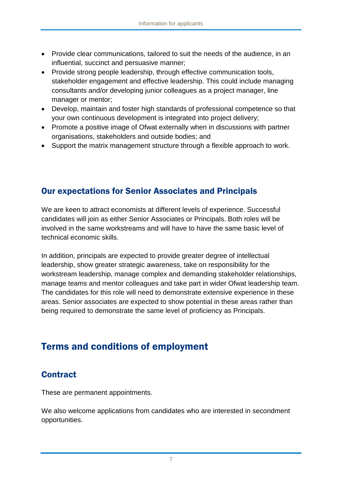- Provide clear communications, tailored to suit the needs of the audience, in an influential, succinct and persuasive manner;
- Provide strong people leadership, through effective communication tools, stakeholder engagement and effective leadership. This could include managing consultants and/or developing junior colleagues as a project manager, line manager or mentor;
- Develop, maintain and foster high standards of professional competence so that your own continuous development is integrated into project delivery;
- Promote a positive image of Ofwat externally when in discussions with partner organisations, stakeholders and outside bodies; and
- Support the matrix management structure through a flexible approach to work.

#### Our expectations for Senior Associates and Principals

We are keen to attract economists at different levels of experience. Successful candidates will join as either Senior Associates or Principals. Both roles will be involved in the same workstreams and will have to have the same basic level of technical economic skills.

In addition, principals are expected to provide greater degree of intellectual leadership, show greater strategic awareness, take on responsibility for the workstream leadership, manage complex and demanding stakeholder relationships, manage teams and mentor colleagues and take part in wider Ofwat leadership team. The candidates for this role will need to demonstrate extensive experience in these areas. Senior associates are expected to show potential in these areas rather than being required to demonstrate the same level of proficiency as Principals.

# Terms and conditions of employment

#### **Contract**

These are permanent appointments.

We also welcome applications from candidates who are interested in secondment opportunities.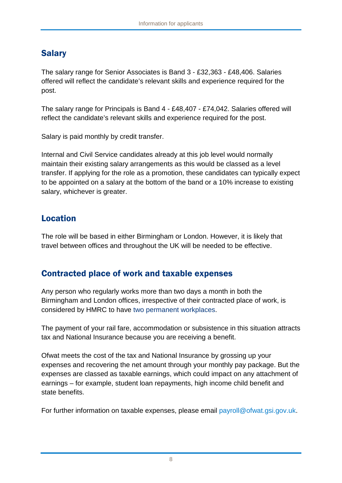## Salary

The salary range for Senior Associates is Band 3 - £32,363 - £48,406. Salaries offered will reflect the candidate's relevant skills and experience required for the post.

The salary range for Principals is Band 4 - £48,407 - £74,042. Salaries offered will reflect the candidate's relevant skills and experience required for the post.

Salary is paid monthly by credit transfer.

Internal and Civil Service candidates already at this job level would normally maintain their existing salary arrangements as this would be classed as a level transfer. If applying for the role as a promotion, these candidates can typically expect to be appointed on a salary at the bottom of the band or a 10% increase to existing salary, whichever is greater.

#### Location

The role will be based in either Birmingham or London. However, it is likely that travel between offices and throughout the UK will be needed to be effective.

## Contracted place of work and taxable expenses

Any person who regularly works more than two days a month in both the Birmingham and London offices, irrespective of their contracted place of work, is considered by HMRC to have two permanent workplaces.

The payment of your rail fare, accommodation or subsistence in this situation attracts tax and National Insurance because you are receiving a benefit.

Ofwat meets the cost of the tax and National Insurance by grossing up your expenses and recovering the net amount through your monthly pay package. But the expenses are classed as taxable earnings, which could impact on any attachment of earnings – for example, student loan repayments, high income child benefit and state benefits.

For further information on taxable expenses, please email [payroll@ofwat.gsi.gov.uk.](mailto:payroll@ofwat.gsi.gov.uk)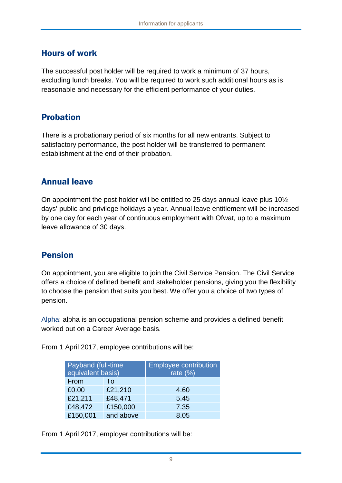#### Hours of work

The successful post holder will be required to work a minimum of 37 hours, excluding lunch breaks. You will be required to work such additional hours as is reasonable and necessary for the efficient performance of your duties.

#### Probation

There is a probationary period of six months for all new entrants. Subject to satisfactory performance, the post holder will be transferred to permanent establishment at the end of their probation.

#### Annual leave

On appointment the post holder will be entitled to 25 days annual leave plus 10½ days' public and privilege holidays a year. Annual leave entitlement will be increased by one day for each year of continuous employment with Ofwat, up to a maximum leave allowance of 30 days.

#### Pension

On appointment, you are eligible to join the Civil Service Pension. The Civil Service offers a choice of defined benefit and stakeholder pensions, giving you the flexibility to choose the pension that suits you best. We offer you a choice of two types of pension.

Alpha: alpha is an occupational pension scheme and provides a defined benefit worked out on a Career Average basis.

From 1 April 2017, employee contributions will be:

| Payband (full-time<br>equivalent basis) |           | Employee contribution<br>rate $(%)$ |
|-----------------------------------------|-----------|-------------------------------------|
| From                                    | Τo        |                                     |
| £0.00                                   | £21,210   | 4.60                                |
| £21,211                                 | £48,471   | 5.45                                |
| £48,472                                 | £150,000  | 7.35                                |
| £150,001                                | and above | 8.05                                |

From 1 April 2017, employer contributions will be: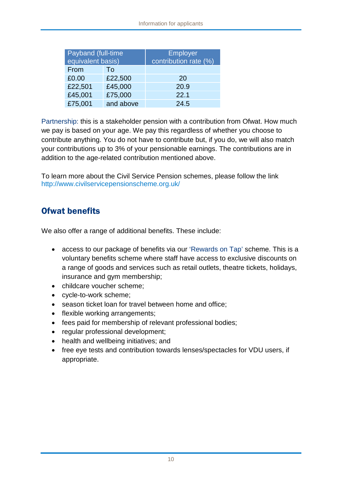| Payband (full-time<br>equivalent basis) |           | <b>Employer</b><br>contribution rate (%) |
|-----------------------------------------|-----------|------------------------------------------|
| From                                    | To        |                                          |
| £0.00                                   | £22,500   | 20                                       |
| £22,501                                 | £45,000   | 20.9                                     |
| £45,001                                 | £75,000   | 22.1                                     |
| £75,001                                 | and above | 24.5                                     |

Partnership: this is a stakeholder pension with a contribution from Ofwat. How much we pay is based on your age. We pay this regardless of whether you choose to contribute anything. You do not have to contribute but, if you do, we will also match your contributions up to 3% of your pensionable earnings. The contributions are in addition to the age-related contribution mentioned above.

To learn more about the Civil Service Pension schemes, please follow the link <http://www.civilservicepensionscheme.org.uk/>

## Ofwat benefits

We also offer a range of additional benefits. These include:

- access to our package of benefits via our 'Rewards on Tap' scheme. This is a voluntary benefits scheme where staff have access to exclusive discounts on a range of goods and services such as retail outlets, theatre tickets, holidays, insurance and gym membership;
- childcare voucher scheme;
- cycle-to-work scheme;
- season ticket loan for travel between home and office;
- flexible working arrangements:
- fees paid for membership of relevant professional bodies;
- regular professional development;
- health and wellbeing initiatives; and
- free eye tests and contribution towards lenses/spectacles for VDU users, if appropriate.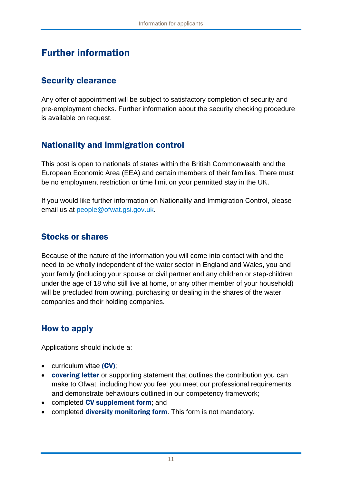## Further information

#### Security clearance

Any offer of appointment will be subject to satisfactory completion of security and pre-employment checks. Further information about the security checking procedure is available on request.

#### Nationality and immigration control

This post is open to nationals of states within the British Commonwealth and the European Economic Area (EEA) and certain members of their families. There must be no employment restriction or time limit on your permitted stay in the UK.

If you would like further information on Nationality and Immigration Control, please email us at [people@ofwat.gsi.gov.uk.](mailto:hr@ofwat.gsi.gov.uk)

#### Stocks or shares

Because of the nature of the information you will come into contact with and the need to be wholly independent of the water sector in England and Wales, you and your family (including your spouse or civil partner and any children or step-children under the age of 18 who still live at home, or any other member of your household) will be precluded from owning, purchasing or dealing in the shares of the water companies and their holding companies.

#### How to apply

Applications should include a:

- curriculum vitae (CV);
- **covering letter** or supporting statement that outlines the contribution you can make to Ofwat, including how you feel you meet our professional requirements and demonstrate behaviours outlined in our competency framework;
- completed CV supplement form; and
- completed **diversity monitoring form**. This form is not mandatory.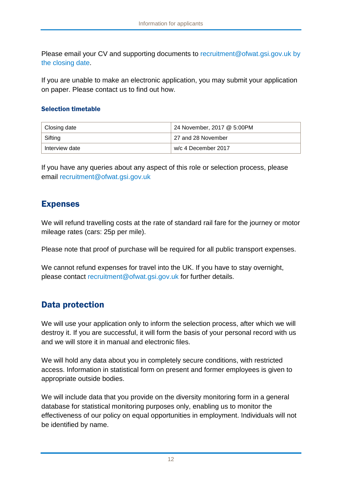Please email your CV and supporting documents to [recruitment@ofwat.gsi.gov.uk](mailto:recruitment@ofwat.gsi.gov.uk) by the closing date.

If you are unable to make an electronic application, you may submit your application on paper. Please contact us to find out how.

#### Selection timetable

| Closing date   | 24 November, 2017 @ 5:00PM |
|----------------|----------------------------|
| Sifting        | 27 and 28 November         |
| Interview date | w/c 4 December 2017        |

If you have any queries about any aspect of this role or selection process, please email [recruitment@ofwat.gsi.gov.uk](mailto:recruitment@ofwat.gsi.gov.uk)

#### Expenses

We will refund travelling costs at the rate of standard rail fare for the journey or motor mileage rates (cars: 25p per mile).

Please note that proof of purchase will be required for all public transport expenses.

We cannot refund expenses for travel into the UK. If you have to stay overnight, please contact [recruitment@ofwat.gsi.gov.uk](mailto:recruitment@ofwat.gsi.gov.uk) for further details.

#### Data protection

We will use your application only to inform the selection process, after which we will destroy it. If you are successful, it will form the basis of your personal record with us and we will store it in manual and electronic files.

We will hold any data about you in completely secure conditions, with restricted access. Information in statistical form on present and former employees is given to appropriate outside bodies.

We will include data that you provide on the diversity monitoring form in a general database for statistical monitoring purposes only, enabling us to monitor the effectiveness of our policy on equal opportunities in employment. Individuals will not be identified by name.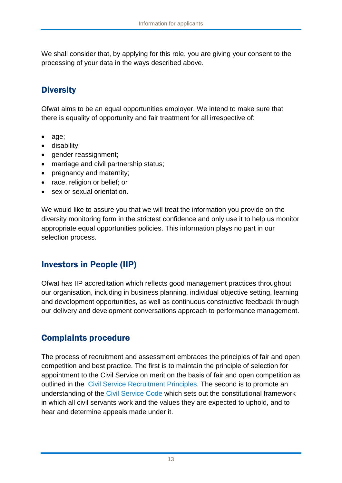We shall consider that, by applying for this role, you are giving your consent to the processing of your data in the ways described above.

## **Diversity**

Ofwat aims to be an equal opportunities employer. We intend to make sure that there is equality of opportunity and fair treatment for all irrespective of:

- age;
- disability;
- gender reassignment;
- marriage and civil partnership status;
- pregnancy and maternity;
- race, religion or belief; or
- sex or sexual orientation.

We would like to assure you that we will treat the information you provide on the diversity monitoring form in the strictest confidence and only use it to help us monitor appropriate equal opportunities policies. This information plays no part in our selection process.

## Investors in People (IIP)

Ofwat has IIP accreditation which reflects good management practices throughout our organisation, including in business planning, individual objective setting, learning and development opportunities, as well as continuous constructive feedback through our delivery and development conversations approach to performance management.

## Complaints procedure

The process of recruitment and assessment embraces the principles of fair and open competition and best practice. The first is to maintain the principle of selection for appointment to the Civil Service on merit on the basis of fair and open competition as outlined in the [Civil Service Recruitment Principles.](http://civilservicecommission.independent.gov.uk/wp-content/uploads/2012/03/RECRUITMENT-PRINCIPLES-December-2014.pdf) The second is to promote an understanding of the [Civil Service Code](http://resources.civilservice.gov.uk/wp-content/uploads/2011/09/civil-service-code-2010.pdf) which sets out the constitutional framework in which all civil servants work and the values they are expected to uphold, and to hear and determine appeals made under it.